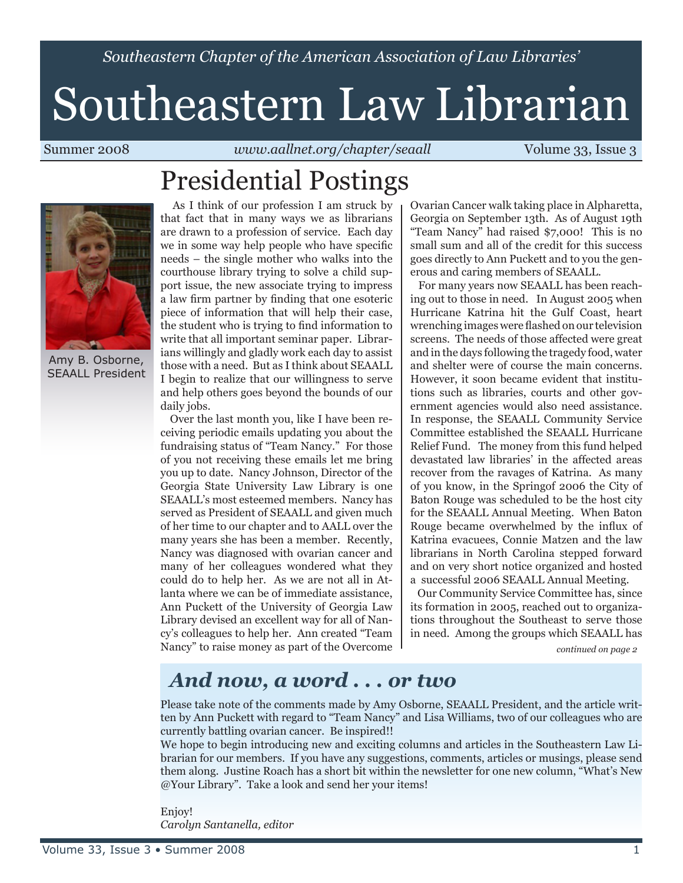*Southeastern Chapter of the American Association of Law Libraries'*

# Southeastern Law Librarian

Summer 2008 *www.aallnet.org/chapter/seaall* Volume 33, Issue 3

## Presidential Postings



Amy B. Osborne, SEAALL President

 As I think of our profession I am struck by that fact that in many ways we as librarians are drawn to a profession of service. Each day we in some way help people who have specific needs – the single mother who walks into the courthouse library trying to solve a child support issue, the new associate trying to impress a law firm partner by finding that one esoteric piece of information that will help their case, the student who is trying to find information to write that all important seminar paper. Librarians willingly and gladly work each day to assist those with a need. But as I think about SEAALL I begin to realize that our willingness to serve and help others goes beyond the bounds of our daily jobs.

 Over the last month you, like I have been receiving periodic emails updating you about the fundraising status of "Team Nancy." For those of you not receiving these emails let me bring you up to date. Nancy Johnson, Director of the Georgia State University Law Library is one SEAALL's most esteemed members. Nancy has served as President of SEAALL and given much of her time to our chapter and to AALL over the many years she has been a member. Recently, Nancy was diagnosed with ovarian cancer and many of her colleagues wondered what they could do to help her. As we are not all in Atlanta where we can be of immediate assistance, Ann Puckett of the University of Georgia Law Library devised an excellent way for all of Nancy's colleagues to help her. Ann created "Team Nancy" to raise money as part of the Overcome Ovarian Cancer walk taking place in Alpharetta, Georgia on September 13th. As of August 19th "Team Nancy" had raised \$7,000! This is no small sum and all of the credit for this success goes directly to Ann Puckett and to you the generous and caring members of SEAALL.

 For many years now SEAALL has been reaching out to those in need. In August 2005 when Hurricane Katrina hit the Gulf Coast, heart wrenching images were flashed on our television screens. The needs of those affected were great and in the days following the tragedy food, water and shelter were of course the main concerns. However, it soon became evident that institutions such as libraries, courts and other government agencies would also need assistance. In response, the SEAALL Community Service Committee established the SEAALL Hurricane Relief Fund. The money from this fund helped devastated law libraries' in the affected areas recover from the ravages of Katrina. As many of you know, in the Springof 2006 the City of Baton Rouge was scheduled to be the host city for the SEAALL Annual Meeting. When Baton Rouge became overwhelmed by the influx of Katrina evacuees, Connie Matzen and the law librarians in North Carolina stepped forward and on very short notice organized and hosted a successful 2006 SEAALL Annual Meeting.

 Our Community Service Committee has, since its formation in 2005, reached out to organizations throughout the Southeast to serve those in need. Among the groups which SEAALL has

*continued on page 2*

### *And now, a word . . . or two*

Please take note of the comments made by Amy Osborne, SEAALL President, and the article written by Ann Puckett with regard to "Team Nancy" and Lisa Williams, two of our colleagues who are currently battling ovarian cancer. Be inspired!!

We hope to begin introducing new and exciting columns and articles in the Southeastern Law Librarian for our members. If you have any suggestions, comments, articles or musings, please send them along. Justine Roach has a short bit within the newsletter for one new column, "What's New @Your Library". Take a look and send her your items!

Enjoy! *Carolyn Santanella, editor*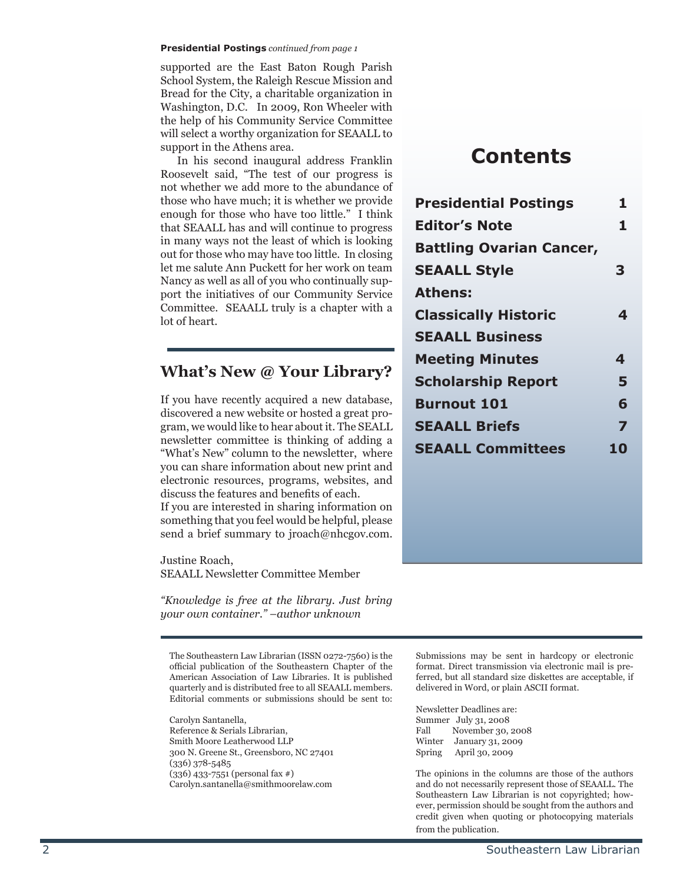#### **Presidential Postings** *continued from page 1*

supported are the East Baton Rough Parish School System, the Raleigh Rescue Mission and Bread for the City, a charitable organization in Washington, D.C. In 2009, Ron Wheeler with the help of his Community Service Committee will select a worthy organization for SEAALL to support in the Athens area.

 In his second inaugural address Franklin Roosevelt said, "The test of our progress is not whether we add more to the abundance of those who have much; it is whether we provide enough for those who have too little." I think that SEAALL has and will continue to progress in many ways not the least of which is looking out for those who may have too little. In closing let me salute Ann Puckett for her work on team Nancy as well as all of you who continually support the initiatives of our Community Service Committee. SEAALL truly is a chapter with a lot of heart.

#### **What's New @ Your Library?**

If you have recently acquired a new database, discovered a new website or hosted a great program, we would like to hear about it. The SEALL newsletter committee is thinking of adding a "What's New" column to the newsletter, where you can share information about new print and electronic resources, programs, websites, and discuss the features and benefits of each. If you are interested in sharing information on something that you feel would be helpful, please

send a brief summary to jroach@nhcgov.com. Justine Roach,

SEAALL Newsletter Committee Member

*"Knowledge is free at the library. Just bring your own container." –author unknown*

The Southeastern Law Librarian (ISSN 0272-7560) is the official publication of the Southeastern Chapter of the American Association of Law Libraries. It is published quarterly and is distributed free to all SEAALL members. Editorial comments or submissions should be sent to:

Carolyn Santanella, Reference & Serials Librarian, Smith Moore Leatherwood LLP 300 N. Greene St., Greensboro, NC 27401 (336) 378-5485 (336) 433-7551 (personal fax #) Carolyn.santanella@smithmoorelaw.com

### **Contents**

| <b>Presidential Postings</b>    | 1  |
|---------------------------------|----|
| <b>Editor's Note</b>            | 1  |
| <b>Battling Ovarian Cancer,</b> |    |
| <b>SEAALL Style</b>             | 3  |
| <b>Athens:</b>                  |    |
| <b>Classically Historic</b>     | 4  |
| <b>SEAALL Business</b>          |    |
| <b>Meeting Minutes</b>          | 4  |
| <b>Scholarship Report</b>       | 5  |
| <b>Burnout 101</b>              | 6  |
| <b>SEAALL Briefs</b>            | 7  |
| <b>SEAALL Committees</b>        | 10 |

Submissions may be sent in hardcopy or electronic format. Direct transmission via electronic mail is preferred, but all standard size diskettes are acceptable, if delivered in Word, or plain ASCII format.

Newsletter Deadlines are: Summer July 31, 2008<br>Fall November 30, November 30, 2008 Winter January 31, 2009 Spring April 30, 2009

The opinions in the columns are those of the authors and do not necessarily represent those of SEAALL. The Southeastern Law Librarian is not copyrighted; however, permission should be sought from the authors and credit given when quoting or photocopying materials from the publication.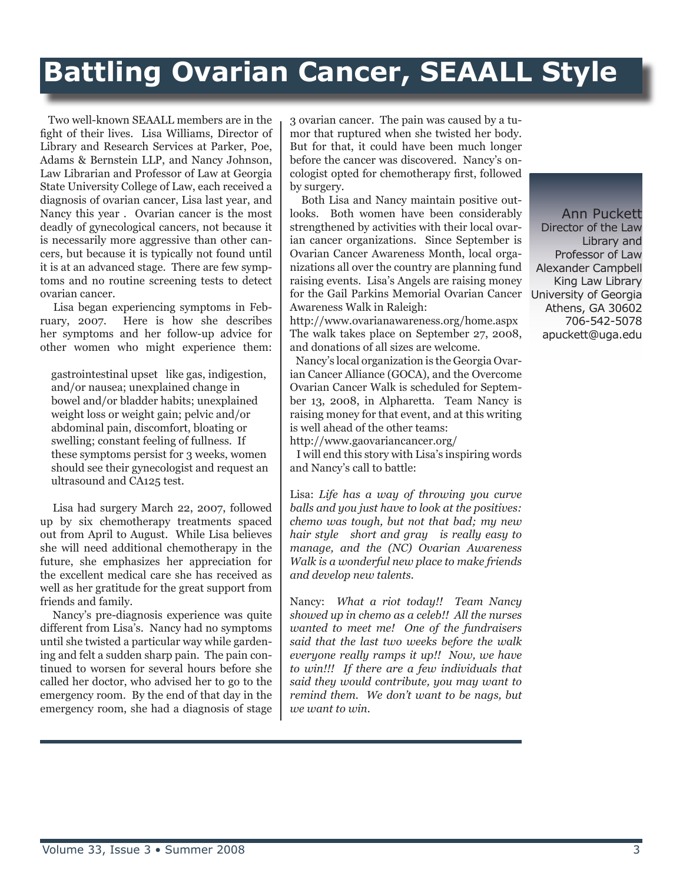## **Battling Ovarian Cancer, SEAALL Style**

 Two well-known SEAALL members are in the fight of their lives. Lisa Williams, Director of Library and Research Services at Parker, Poe, Adams & Bernstein LLP, and Nancy Johnson, Law Librarian and Professor of Law at Georgia State University College of Law, each received a diagnosis of ovarian cancer, Lisa last year, and Nancy this year . Ovarian cancer is the most deadly of gynecological cancers, not because it is necessarily more aggressive than other cancers, but because it is typically not found until it is at an advanced stage. There are few symptoms and no routine screening tests to detect ovarian cancer.

 Lisa began experiencing symptoms in February, 2007. Here is how she describes her symptoms and her follow-up advice for other women who might experience them:

gastrointestinal upset like gas, indigestion, and/or nausea; unexplained change in bowel and/or bladder habits; unexplained weight loss or weight gain; pelvic and/or abdominal pain, discomfort, bloating or swelling; constant feeling of fullness. If these symptoms persist for 3 weeks, women should see their gynecologist and request an ultrasound and CA125 test.

 Lisa had surgery March 22, 2007, followed up by six chemotherapy treatments spaced out from April to August. While Lisa believes she will need additional chemotherapy in the future, she emphasizes her appreciation for the excellent medical care she has received as well as her gratitude for the great support from friends and family.

 Nancy's pre-diagnosis experience was quite different from Lisa's. Nancy had no symptoms until she twisted a particular way while gardening and felt a sudden sharp pain. The pain continued to worsen for several hours before she called her doctor, who advised her to go to the emergency room. By the end of that day in the emergency room, she had a diagnosis of stage 3 ovarian cancer. The pain was caused by a tumor that ruptured when she twisted her body. But for that, it could have been much longer before the cancer was discovered. Nancy's oncologist opted for chemotherapy first, followed by surgery.

for the Gail Parkins Memorial Ovarian Cancer University of Georgia Both Lisa and Nancy maintain positive outlooks. Both women have been considerably strengthened by activities with their local ovarian cancer organizations. Since September is Ovarian Cancer Awareness Month, local organizations all over the country are planning fund raising events. Lisa's Angels are raising money Awareness Walk in Raleigh:

http://www.ovarianawareness.org/home.aspx The walk takes place on September 27, 2008, and donations of all sizes are welcome.

 Nancy's local organization is the Georgia Ovarian Cancer Alliance (GOCA), and the Overcome Ovarian Cancer Walk is scheduled for September 13, 2008, in Alpharetta. Team Nancy is raising money for that event, and at this writing is well ahead of the other teams:

http://www.gaovariancancer.org/

 I will end this story with Lisa's inspiring words and Nancy's call to battle:

Lisa: *Life has a way of throwing you curve balls and you just have to look at the positives: chemo was tough, but not that bad; my new hair style short and gray is really easy to manage, and the (NC) Ovarian Awareness Walk is a wonderful new place to make friends and develop new talents.*

Nancy: *What a riot today!! Team Nancy showed up in chemo as a celeb!! All the nurses wanted to meet me! One of the fundraisers said that the last two weeks before the walk everyone really ramps it up!! Now, we have to win!!! If there are a few individuals that said they would contribute, you may want to remind them. We don't want to be nags, but we want to win.*

Ann Puckett Director of the Law Library and Professor of Law Alexander Campbell King Law Library Athens, GA 30602 706-542-5078 apuckett@uga.edu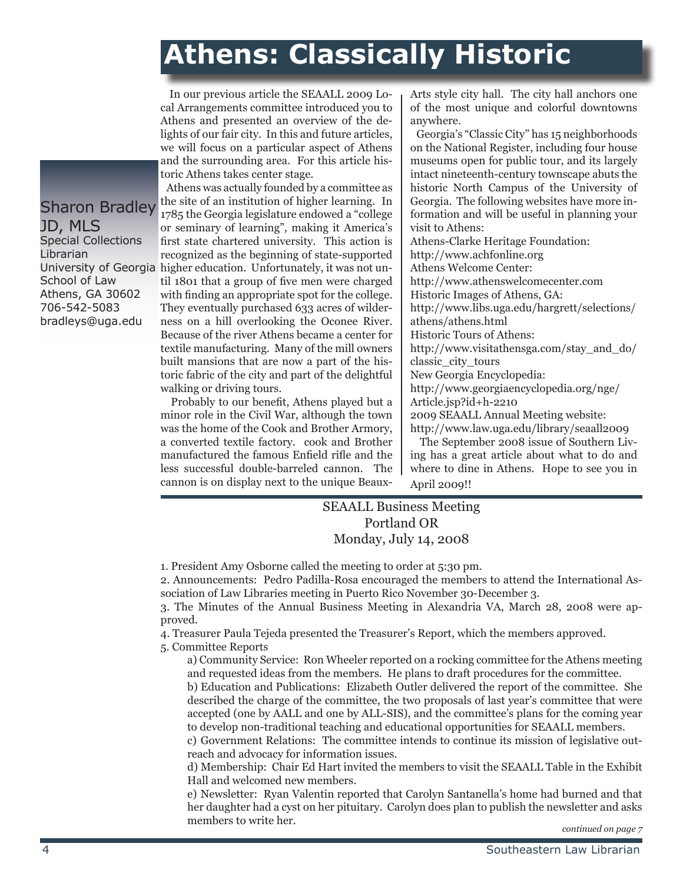## **Athens: Classically Historic**

 In our previous article the SEAALL 2009 Local Arrangements committee introduced you to Athens and presented an overview of the delights of our fair city. In this and future articles, we will focus on a particular aspect of Athens and the surrounding area. For this article historic Athens takes center stage.

University of Georgia higher education. Unfortunately, it was not un- Athens was actually founded by a committee as the site of an institution of higher learning. In 1785 the Georgia legislature endowed a "college or seminary of learning", making it America's first state chartered university. This action is recognized as the beginning of state-supported til 1801 that a group of five men were charged with finding an appropriate spot for the college. They eventually purchased 633 acres of wilderness on a hill overlooking the Oconee River. Because of the river Athens became a center for textile manufacturing. Many of the mill owners built mansions that are now a part of the historic fabric of the city and part of the delightful walking or driving tours.

> Probably to our benefit, Athens played but a minor role in the Civil War, although the town was the home of the Cook and Brother Armory, a converted textile factory. cook and Brother manufactured the famous Enfield rifle and the less successful double-barreled cannon. The cannon is on display next to the unique Beaux-

Arts style city hall. The city hall anchors one of the most unique and colorful downtowns anywhere.

 Georgia's "Classic City" has 15 neighborhoods on the National Register, including four house museums open for public tour, and its largely intact nineteenth-century townscape abuts the historic North Campus of the University of Georgia. The following websites have more information and will be useful in planning your visit to Athens: Athens-Clarke Heritage Foundation: http://www.achfonline.org Athens Welcome Center: http://www.athenswelcomecenter.com Historic Images of Athens, GA: http://www.libs.uga.edu/hargrett/selections/ athens/athens.html Historic Tours of Athens: http://www.visitathensga.com/stay\_and\_do/ classic\_city\_tours New Georgia Encyclopedia: http://www.georgiaencyclopedia.org/nge/ Article.jsp?id+h-2210 2009 SEAALL Annual Meeting website: http://www.law.uga.edu/library/seaall2009

 The September 2008 issue of Southern Living has a great article about what to do and where to dine in Athens. Hope to see you in April 2009!!

#### SEAALL Business Meeting Portland OR Monday, July 14, 2008

1. President Amy Osborne called the meeting to order at 5:30 pm.

2. Announcements: Pedro Padilla-Rosa encouraged the members to attend the International Association of Law Libraries meeting in Puerto Rico November 30-December 3.

3. The Minutes of the Annual Business Meeting in Alexandria VA, March 28, 2008 were approved.

4. Treasurer Paula Tejeda presented the Treasurer's Report, which the members approved.

5. Committee Reports

a) Community Service: Ron Wheeler reported on a rocking committee for the Athens meeting and requested ideas from the members. He plans to draft procedures for the committee.

b) Education and Publications: Elizabeth Outler delivered the report of the committee. She described the charge of the committee, the two proposals of last year's committee that were accepted (one by AALL and one by ALL-SIS), and the committee's plans for the coming year to develop non-traditional teaching and educational opportunities for SEAALL members.

c) Government Relations: The committee intends to continue its mission of legislative outreach and advocacy for information issues.

d) Membership: Chair Ed Hart invited the members to visit the SEAALL Table in the Exhibit Hall and welcomed new members.

e) Newsletter: Ryan Valentin reported that Carolyn Santanella's home had burned and that her daughter had a cyst on her pituitary. Carolyn does plan to publish the newsletter and asks members to write her.

### Sharon Bradley JD, MLS

Special Collections Librarian School of Law Athens, GA 30602 706-542-5083 bradleys@uga.edu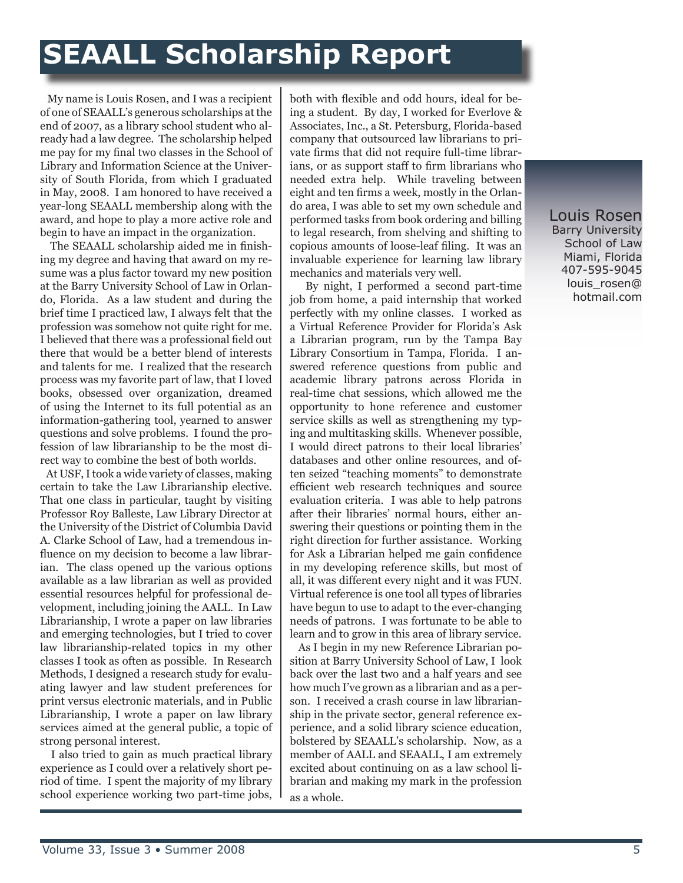## **SEAALL Scholarship Report**

 My name is Louis Rosen, and I was a recipient of one of SEAALL's generous scholarships at the end of 2007, as a library school student who already had a law degree. The scholarship helped me pay for my final two classes in the School of Library and Information Science at the University of South Florida, from which I graduated in May, 2008. I am honored to have received a year-long SEAALL membership along with the award, and hope to play a more active role and begin to have an impact in the organization.

 The SEAALL scholarship aided me in finishing my degree and having that award on my resume was a plus factor toward my new position at the Barry University School of Law in Orlando, Florida. As a law student and during the brief time I practiced law, I always felt that the profession was somehow not quite right for me. I believed that there was a professional field out there that would be a better blend of interests and talents for me. I realized that the research process was my favorite part of law, that I loved books, obsessed over organization, dreamed of using the Internet to its full potential as an information-gathering tool, yearned to answer questions and solve problems. I found the profession of law librarianship to be the most direct way to combine the best of both worlds.

 At USF, I took a wide variety of classes, making certain to take the Law Librarianship elective. That one class in particular, taught by visiting Professor Roy Balleste, Law Library Director at the University of the District of Columbia David A. Clarke School of Law, had a tremendous influence on my decision to become a law librarian. The class opened up the various options available as a law librarian as well as provided essential resources helpful for professional development, including joining the AALL. In Law Librarianship, I wrote a paper on law libraries and emerging technologies, but I tried to cover law librarianship-related topics in my other classes I took as often as possible. In Research Methods, I designed a research study for evaluating lawyer and law student preferences for print versus electronic materials, and in Public Librarianship, I wrote a paper on law library services aimed at the general public, a topic of strong personal interest.

 I also tried to gain as much practical library experience as I could over a relatively short period of time. I spent the majority of my library school experience working two part-time jobs,

both with flexible and odd hours, ideal for being a student. By day, I worked for Everlove & Associates, Inc., a St. Petersburg, Florida-based company that outsourced law librarians to private firms that did not require full-time librarians, or as support staff to firm librarians who needed extra help. While traveling between eight and ten firms a week, mostly in the Orlando area, I was able to set my own schedule and performed tasks from book ordering and billing to legal research, from shelving and shifting to copious amounts of loose-leaf filing. It was an invaluable experience for learning law library mechanics and materials very well.

 By night, I performed a second part-time job from home, a paid internship that worked perfectly with my online classes. I worked as a Virtual Reference Provider for Florida's Ask a Librarian program, run by the Tampa Bay Library Consortium in Tampa, Florida. I answered reference questions from public and academic library patrons across Florida in real-time chat sessions, which allowed me the opportunity to hone reference and customer service skills as well as strengthening my typing and multitasking skills. Whenever possible, I would direct patrons to their local libraries' databases and other online resources, and often seized "teaching moments" to demonstrate efficient web research techniques and source evaluation criteria. I was able to help patrons after their libraries' normal hours, either answering their questions or pointing them in the right direction for further assistance. Working for Ask a Librarian helped me gain confidence in my developing reference skills, but most of all, it was different every night and it was FUN. Virtual reference is one tool all types of libraries have begun to use to adapt to the ever-changing needs of patrons. I was fortunate to be able to learn and to grow in this area of library service.

 As I begin in my new Reference Librarian position at Barry University School of Law, I look back over the last two and a half years and see how much I've grown as a librarian and as a person. I received a crash course in law librarianship in the private sector, general reference experience, and a solid library science education, bolstered by SEAALL's scholarship. Now, as a member of AALL and SEAALL, I am extremely excited about continuing on as a law school librarian and making my mark in the profession as a whole.

Louis Rosen Barry University School of Law Miami, Florida 407-595-9045 louis\_rosen@ hotmail.com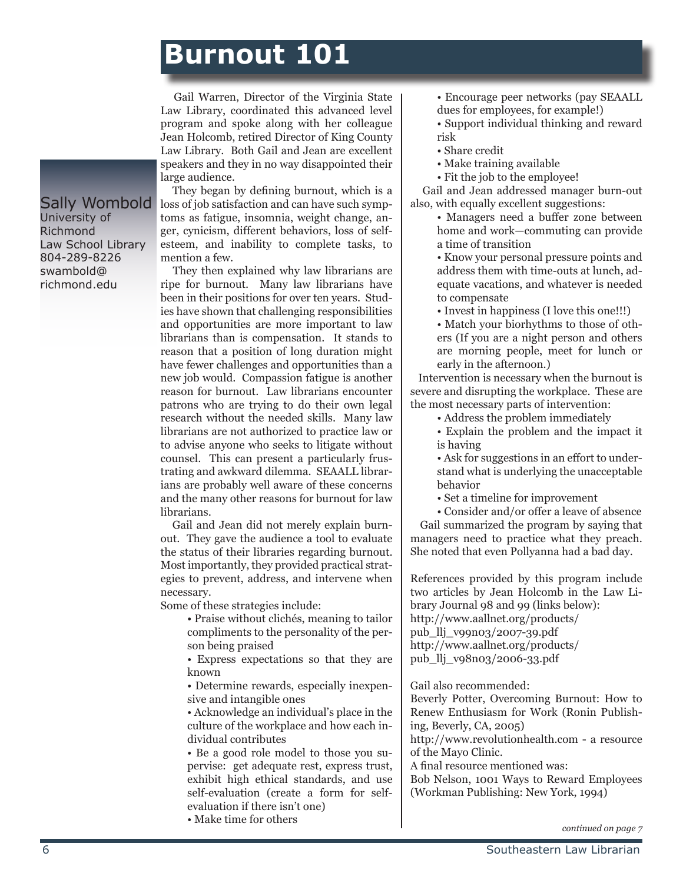### **Burnout 101**

 Gail Warren, Director of the Virginia State Law Library, coordinated this advanced level program and spoke along with her colleague Jean Holcomb, retired Director of King County Law Library. Both Gail and Jean are excellent speakers and they in no way disappointed their large audience.

Sally Wombold University of Richmond Law School Library 804-289-8226 swambold@ richmond.edu

 They began by defining burnout, which is a loss of job satisfaction and can have such symptoms as fatigue, insomnia, weight change, anger, cynicism, different behaviors, loss of selfesteem, and inability to complete tasks, to mention a few.

 They then explained why law librarians are ripe for burnout. Many law librarians have been in their positions for over ten years. Studies have shown that challenging responsibilities and opportunities are more important to law librarians than is compensation. It stands to reason that a position of long duration might have fewer challenges and opportunities than a new job would. Compassion fatigue is another reason for burnout. Law librarians encounter patrons who are trying to do their own legal research without the needed skills. Many law librarians are not authorized to practice law or to advise anyone who seeks to litigate without counsel. This can present a particularly frustrating and awkward dilemma. SEAALL librarians are probably well aware of these concerns and the many other reasons for burnout for law librarians.

 Gail and Jean did not merely explain burnout. They gave the audience a tool to evaluate the status of their libraries regarding burnout. Most importantly, they provided practical strategies to prevent, address, and intervene when necessary.

Some of these strategies include:

• Praise without clichés, meaning to tailor compliments to the personality of the person being praised

• Express expectations so that they are known

• Determine rewards, especially inexpensive and intangible ones

• Acknowledge an individual's place in the culture of the workplace and how each individual contributes

• Be a good role model to those you supervise: get adequate rest, express trust, exhibit high ethical standards, and use self-evaluation (create a form for selfevaluation if there isn't one)

• Make time for others

• Encourage peer networks (pay SEAALL dues for employees, for example!)

• Support individual thinking and reward risk

- Share credit
- Make training available
- Fit the job to the employee!

 Gail and Jean addressed manager burn-out also, with equally excellent suggestions:

> • Managers need a buffer zone between home and work—commuting can provide a time of transition

• Know your personal pressure points and address them with time-outs at lunch, adequate vacations, and whatever is needed to compensate

• Invest in happiness (I love this one!!!)

• Match your biorhythms to those of others (If you are a night person and others are morning people, meet for lunch or early in the afternoon.)

 Intervention is necessary when the burnout is severe and disrupting the workplace. These are the most necessary parts of intervention:

• Address the problem immediately

• Explain the problem and the impact it is having

• Ask for suggestions in an effort to understand what is underlying the unacceptable behavior

• Set a timeline for improvement

• Consider and/or offer a leave of absence Gail summarized the program by saying that managers need to practice what they preach. She noted that even Pollyanna had a bad day.

References provided by this program include two articles by Jean Holcomb in the Law Library Journal 98 and 99 (links below): http://www.aallnet.org/products/ pub\_llj\_v99n03/2007-39.pdf http://www.aallnet.org/products/ pub\_llj\_v98n03/2006-33.pdf

Gail also recommended:

Beverly Potter, Overcoming Burnout: How to Renew Enthusiasm for Work (Ronin Publishing, Beverly, CA, 2005)

http://www.revolutionhealth.com - a resource of the Mayo Clinic.

A final resource mentioned was:

Bob Nelson, 1001 Ways to Reward Employees (Workman Publishing: New York, 1994)

*continued on page 7*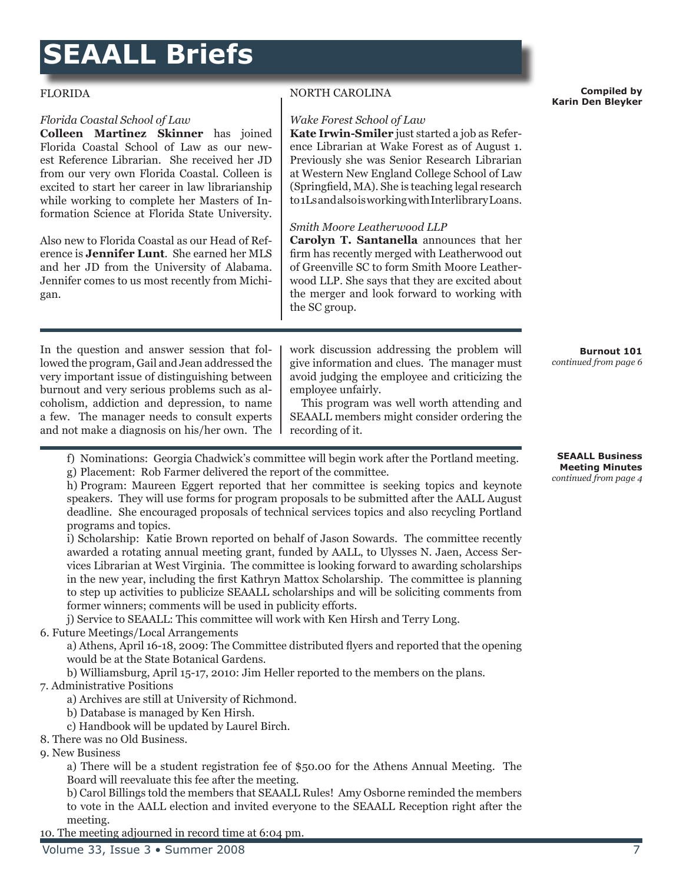## **SEAALL Briefs**

#### FLORIDA

#### *Florida Coastal School of Law*

**Colleen Martinez Skinner** has joined Florida Coastal School of Law as our newest Reference Librarian. She received her JD from our very own Florida Coastal. Colleen is excited to start her career in law librarianship while working to complete her Masters of Information Science at Florida State University.

Also new to Florida Coastal as our Head of Reference is **Jennifer Lunt**. She earned her MLS and her JD from the University of Alabama. Jennifer comes to us most recently from Michigan.

In the question and answer session that followed the program, Gail and Jean addressed the very important issue of distinguishing between burnout and very serious problems such as alcoholism, addiction and depression, to name a few. The manager needs to consult experts and not make a diagnosis on his/her own. The NORTH CAROLINA

#### *Wake Forest School of Law*

**Kate Irwin-Smiler** just started a job as Reference Librarian at Wake Forest as of August 1. Previously she was Senior Research Librarian at Western New England College School of Law (Springfield, MA). She is teaching legal research to 1Ls and also is working with Interlibrary Loans.

#### *Smith Moore Leatherwood LLP*

**Carolyn T. Santanella** announces that her firm has recently merged with Leatherwood out of Greenville SC to form Smith Moore Leatherwood LLP. She says that they are excited about the merger and look forward to working with the SC group.

work discussion addressing the problem will give information and clues. The manager must avoid judging the employee and criticizing the employee unfairly.

 This program was well worth attending and SEAALL members might consider ordering the recording of it.

f) Nominations: Georgia Chadwick's committee will begin work after the Portland meeting. g) Placement: Rob Farmer delivered the report of the committee.

h) Program: Maureen Eggert reported that her committee is seeking topics and keynote speakers. They will use forms for program proposals to be submitted after the AALL August deadline. She encouraged proposals of technical services topics and also recycling Portland programs and topics.

i) Scholarship: Katie Brown reported on behalf of Jason Sowards. The committee recently awarded a rotating annual meeting grant, funded by AALL, to Ulysses N. Jaen, Access Services Librarian at West Virginia. The committee is looking forward to awarding scholarships in the new year, including the first Kathryn Mattox Scholarship. The committee is planning to step up activities to publicize SEAALL scholarships and will be soliciting comments from former winners; comments will be used in publicity efforts.

j) Service to SEAALL: This committee will work with Ken Hirsh and Terry Long.

6. Future Meetings/Local Arrangements

a) Athens, April 16-18, 2009: The Committee distributed flyers and reported that the opening would be at the State Botanical Gardens.

b) Williamsburg, April 15-17, 2010: Jim Heller reported to the members on the plans.

#### 7. Administrative Positions

a) Archives are still at University of Richmond.

b) Database is managed by Ken Hirsh.

c) Handbook will be updated by Laurel Birch.

8. There was no Old Business.

9. New Business

a) There will be a student registration fee of \$50.00 for the Athens Annual Meeting. The Board will reevaluate this fee after the meeting.

b) Carol Billings told the members that SEAALL Rules! Amy Osborne reminded the members to vote in the AALL election and invited everyone to the SEAALL Reception right after the meeting.

10. The meeting adjourned in record time at 6:04 pm.

#### **Compiled by Karin Den Bleyker**

#### **SEAALL Business Meeting Minutes** *continued from page 4*

**Burnout 101**  *continued from page 6*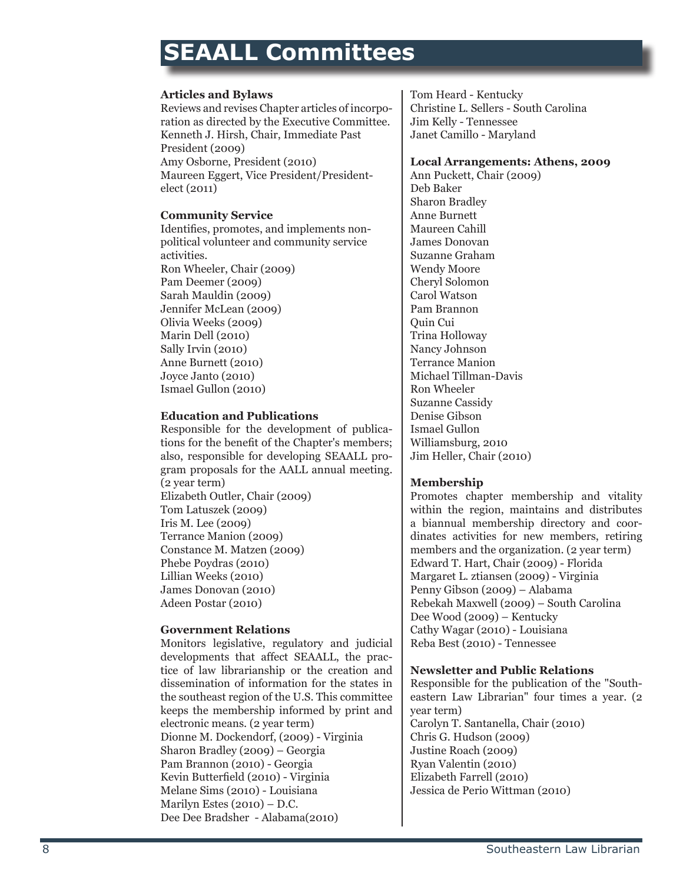### **SEAALL Committees**

#### **Articles and Bylaws**

Reviews and revises Chapter articles of incorporation as directed by the Executive Committee. Kenneth J. Hirsh, Chair, Immediate Past President (2009) Amy Osborne, President (2010) Maureen Eggert, Vice President/Presidentelect (2011)

#### **Community Service**

Identifies, promotes, and implements nonpolitical volunteer and community service activities. Ron Wheeler, Chair (2009) Pam Deemer (2009) Sarah Mauldin (2009) Jennifer McLean (2009) Olivia Weeks (2009) Marin Dell (2010) Sally Irvin (2010) Anne Burnett (2010) Joyce Janto (2010) Ismael Gullon (2010)

#### **Education and Publications**

Responsible for the development of publications for the benefit of the Chapter's members; also, responsible for developing SEAALL program proposals for the AALL annual meeting. (2 year term) Elizabeth Outler, Chair (2009) Tom Latuszek (2009) Iris M. Lee (2009) Terrance Manion (2009) Constance M. Matzen (2009) Phebe Poydras (2010) Lillian Weeks (2010) James Donovan (2010) Adeen Postar (2010)

#### **Government Relations**

Monitors legislative, regulatory and judicial developments that affect SEAALL, the practice of law librarianship or the creation and dissemination of information for the states in the southeast region of the U.S. This committee keeps the membership informed by print and electronic means. (2 year term) Dionne M. Dockendorf, (2009) - Virginia Sharon Bradley (2009) – Georgia Pam Brannon (2010) - Georgia Kevin Butterfield (2010) - Virginia Melane Sims (2010) - Louisiana Marilyn Estes (2010) – D.C. Dee Dee Bradsher - Alabama(2010)

Tom Heard - Kentucky Christine L. Sellers - South Carolina Jim Kelly - Tennessee Janet Camillo - Maryland

#### **Local Arrangements: Athens, 2009**

Ann Puckett, Chair (2009) Deb Baker Sharon Bradley Anne Burnett Maureen Cahill James Donovan Suzanne Graham Wendy Moore Cheryl Solomon Carol Watson Pam Brannon Quin Cui Trina Holloway Nancy Johnson Terrance Manion Michael Tillman-Davis Ron Wheeler Suzanne Cassidy Denise Gibson Ismael Gullon Williamsburg, 2010 Jim Heller, Chair (2010)

#### **Membership**

Promotes chapter membership and vitality within the region, maintains and distributes a biannual membership directory and coordinates activities for new members, retiring members and the organization. (2 year term) Edward T. Hart, Chair (2009) - Florida Margaret L. ztiansen (2009) - Virginia Penny Gibson (2009) – Alabama Rebekah Maxwell (2009) – South Carolina Dee Wood (2009) – Kentucky Cathy Wagar (2010) - Louisiana Reba Best (2010) - Tennessee

#### **Newsletter and Public Relations**

Responsible for the publication of the "Southeastern Law Librarian" four times a year. (2 year term) Carolyn T. Santanella, Chair (2010) Chris G. Hudson (2009) Justine Roach (2009) Ryan Valentin (2010) Elizabeth Farrell (2010) Jessica de Perio Wittman (2010)